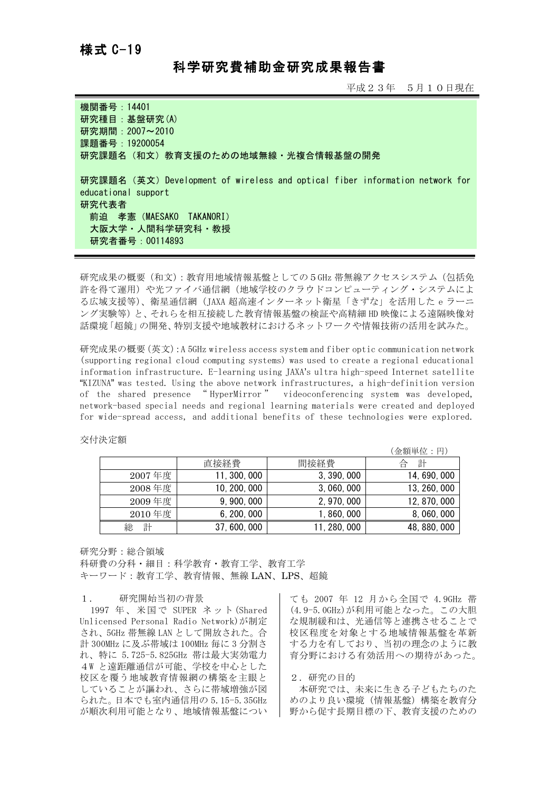## 科学研究費補助金研究成果報告書

平成23年 5月10日現在

| 機関番号: 14401                                                                                                                                                                  |
|------------------------------------------------------------------------------------------------------------------------------------------------------------------------------|
| 研究種目: 基盤研究(A)                                                                                                                                                                |
| 研究期間: 2007~2010                                                                                                                                                              |
| 課題番号: 19200054                                                                                                                                                               |
| 研究課題名(和文)教育支援のための地域無線・光複合情報基盤の開発                                                                                                                                             |
| 研究課題名 (英文) Development of wireless and optical fiber information network for<br>educational support<br>研究代表者<br>前迫 孝憲(MAESAKO TAKANORI)<br>大阪大学・人間科学研究科・教授<br>研究者番号:00114893 |

研究成果の概要(和文):教育用地域情報基盤としての5GHz 帯無線アクセスシステム(包括免 許を得て運用)や光ファイバ通信網(地域学校のクラウドコンピューティング・システムによ る広域支援等)、衛星通信網(JAXA 超高速インターネット衛星「きずな」を活用した e ラーニ ング実験等)と、それらを相互接続した教育情報基盤の検証や高精細 HD 映像による遠隔映像対 話環境「超鏡」の開発、特別支援や地域教材におけるネットワークや情報技術の活用を試みた。

研究成果の概要(英文):A 5GHz wireless access system and fiber optic communication network (supporting regional cloud computing systems) was used to create a regional educational information infrastructure. E-learning using JAXA's ultra high-speed Internet satellite "KIZUNA" was tested. Using the above network infrastructures, a high-definition version of the shared presence " HyperMirror " videoconferencing system was developed, network-based special needs and regional learning materials were created and deployed for wide-spread access, and additional benefits of these technologies were explored.

## 交付決定額

|        |              |              | (金額単位:円)     |
|--------|--------------|--------------|--------------|
|        | 直接経費         | 間接経費         | 計<br>台       |
| 2007年度 | 11, 300, 000 | 3, 390, 000  | 14, 690, 000 |
| 2008年度 | 10, 200, 000 | 3, 060, 000  | 13, 260, 000 |
| 2009年度 | 9, 900, 000  | 2, 970, 000  | 12, 870, 000 |
| 2010年度 | 6, 200, 000  | 1, 860, 000  | 8,060,000    |
| 計<br>総 | 37, 600, 000 | 11, 280, 000 | 48, 880, 000 |

研究分野:総合領域

科研費の分科・細目:科学教育・教育工学、教育工学 キーワード:教育工学、教育情報、無線 LAN、LPS、超鏡

## 1. 研究開始当初の背景

1997 年、米国で SUPER ネット(Shared Unlicensed Personal Radio Network)が制定 され、5GHz 帯無線 LAN として開放された。合 計 300MHz に及ぶ帯域は 100MHz 毎に 3 分割さ れ、特に 5.725-5.825GHz 帯は最大実効電力 4W と遠距離通信が可能、学校を中心とした 校区を覆う地域教育情報網の構築を主眼と していることが謳われ、さらに帯域増強が図 られた。日本でも室内通信用の 5.15-5.35GHz が順次利用可能となり、地域情報基盤につい

ても 2007 年 12 月から全国で 4.9GHz 帯 (4.9-5.0GHz)が利用可能となった。この大胆 な規制緩和は、光通信等と連携させることで 校区程度を対象とする地域情報基盤を革新 する力を有しており、当初の理念のように教 育分野における有効活用への期待があった。

2.研究の目的

本研究では、未来に生きる子どもたちのた めのより良い環境(情報基盤)構築を教育分 野から促す長期目標の下、教育支援のための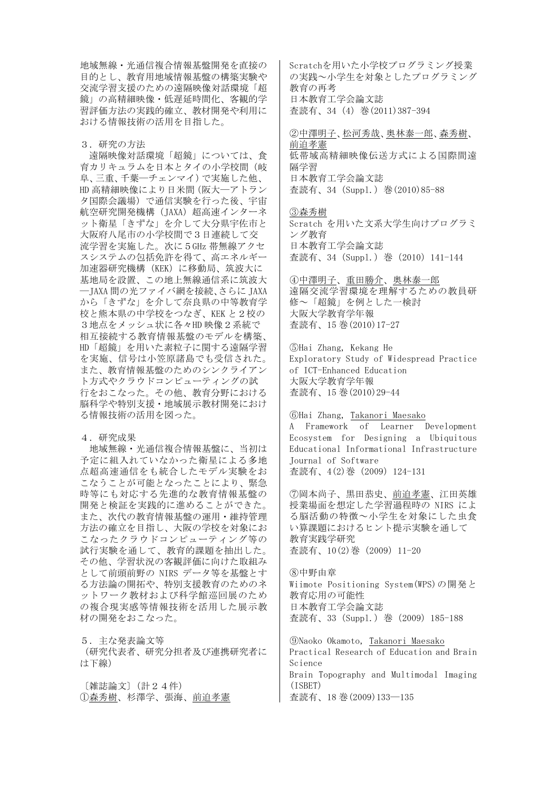地域無線・光通信複合情報基盤開発を直接の 目的とし、教育用地域情報基盤の構築実験や 交流学習支援のための遠隔映像対話環境「超 鏡」の高精細映像・低遅延時間化、客観的学 習評価方法の実践的確立、教材開発や利用に おける情報技術の活用を目指した。

3.研究の方法

遠隔映像対話環境「超鏡」については、食 育カリキュラムを日本とタイの小学校間(岐 阜、三重、千葉̶チェンマイ)で実施した他、 HD 高精細映像により日米間(阪大––アトラン タ国際会議場)で通信実験を行った後、宇宙 航空研究開発機構 (JAXA) 超高速インターネ ット衛星「きずな」を介して大分県宇佐市と 大阪府八尾市の小学校間で3日連続して交 流学習を実施した。次に5GHz 帯無線アクセ スシステムの包括免許を得て、高エネルギー 加速器研究機構(KEK)に移動局、筑波大に 基地局を設置、この地上無線通信系に筑波大 ̶JAXA 間の光ファイバ網を接続、さらに JAXA から「きずな」を介して奈良県の中等教育学 校と熊本県の中学校をつなぎ、KEK と2校の 3地点をメッシュ状に各々HD 映像2系統で 相互接続する教育情報基盤のモデルを構築、 HD「超鏡」を用いた素粒子に関する遠隔学習 を実施、信号は小笠原諸島でも受信された。 また、教育情報基盤のためのシンクライアン ト方式やクラウドコンピューティングの試 行をおこなった。その他、教育分野における 脳科学や特別支援・地域展示教材開発におけ る情報技術の活用を図った。

4.研究成果

地域無線・光通信複合情報基盤に、当初は 予定に組入れていなかった衛星による多地 点超高速通信をも統合したモデル実験をお こなうことが可能となったことにより、緊急 時等にも対応する先進的な教育情報基盤の 開発と検証を実践的に進めることができた。 また、次代の教育情報基盤の運用・維持管理 方法の確立を目指し、大阪の学校を対象にお こなったクラウドコンピューティング等の 試行実験を通して、教育的課題を抽出した。 その他、学習状況の客観評価に向けた取組み として前頭前野の NIRS データ等を基盤とす る方法論の開拓や、特別支援教育のためのネ ットワーク教材および科学館巡回展のため の複合現実感等情報技術を活用した展示教 材の開発をおこなった。

5.主な発表論文等 (研究代表者、研究分担者及び連携研究者に は下線)

〔雑誌論文〕(計24件) ①森秀樹、杉澤学、張海、前迫孝憲 Scratchを用いた小学校プログラミング授業 の実践~小学生を対象としたプログラミング 教育の再考 日本教育工学会論文誌 査読有、34(4)巻(2011)387-394

②中澤明子、松河秀哉、奥林泰一郎、森秀樹、 前迫孝憲 低帯域高精細映像伝送方式による国際間遠 隔学習 日本教育工学会論文誌 査読有、34(Suppl.)巻(2010)85-88

③森秀樹 Scratch を用いた文系大学生向けプログラミ ング教育 日本教育工学会論文誌 査読有、34(Suppl.)巻(2010)141-144

④中澤明子、重田勝介、奥林泰一郎 遠隔交流学習環境を理解するための教員研 修~「超鏡」を例とした一検討 大阪大学教育学年報 査読有、15 巻(2010)17-27

⑤Hai Zhang, Kekang He Exploratory Study of Widespread Practice of ICT-Enhanced Education 大阪大学教育学年報 査読有、15 巻(2010)29-44

⑥Hai Zhang, Takanori Maesako A Framework of Learner Development Ecosystem for Designing a Ubiquitous Educational Informational Infrastructure Journal of Software 査読有、4(2)巻(2009)124-131

⑦岡本尚子、黒田恭史、前迫孝憲、江田英雄 授業場面を想定した学習過程時の NIRS によ る脳活動の特徴~小学生を対象にした虫食 い算課題におけるヒント提示実験を通して 教育実践学研究 査読有、10(2)巻(2009)11-20

⑧中野由章 Wiimote Positioning System(WPS)の開発と 教育応用の可能性 日本教育工学会論文誌 査読有、33(Suppl.)巻(2009)185-188

⑨Naoko Okamoto, Takanori Maesako Practical Research of Education and Brain Science Brain Topography and Multimodal Imaging (ISBET) 査読有、18 巻(2009)133̶135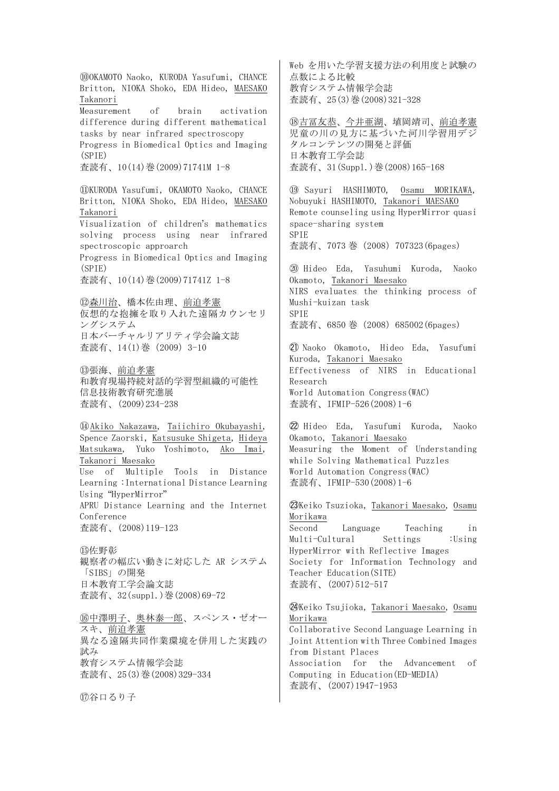⑩OKAMOTO Naoko, KURODA Yasufumi, CHANCE Britton, NIOKA Shoko, EDA Hideo, MAESAKO Takanori Measurement of brain activation difference during different mathematical tasks by near infrared spectroscopy Progress in Biomedical Optics and Imaging (SPIE) 査読有、10(14)巻(2009)71741M 1-8 ⑪KURODA Yasufumi, OKAMOTO Naoko, CHANCE Britton, NIOKA Shoko, EDA Hideo, MAESAKO Takanori Visualization of children's mathematics solving process using near infrared spectroscopic approarch Progress in Biomedical Optics and Imaging (SPIE) 査読有、10(14)巻(2009)71741Z 1-8 ⑫森川治、橋本佐由理、前迫孝憲 仮想的な抱擁を取り入れた遠隔カウンセリ ングシステム 日本バーチャルリアリティ学会論文誌 査読有、14(1)巻(2009)3-10 ⑬張海、前迫孝憲 和教育現場持続対話的学習型組織的可能性 信息技術教育研究進展 査読有、(2009)234-238 ⑭Akiko Nakazawa, Taiichiro Okubayashi, Spence Zaorski, Katsusuke Shigeta, Hideya Matsukawa, Yuko Yoshimoto, Ako Imai, Takanori Maesako Use of Multiple Tools in Distance Learning :International Distance Learning Using "HyperMirror" APRU Distance Learning and the Internet Conference 査読有、(2008)119-123 ⑮佐野彰 観察者の幅広い動きに対応した AR システム 「SIBS」の開発 日本教育工学会論文誌 査読有、32(suppl.)巻(2008)69-72 ⑯中澤明子、奥林泰一郎、スペンス・ゼオー スキ、前迫孝憲 異なる遠隔共同作業環境を併用した実践の 試み 教育システム情報学会誌 査読有、25(3)巻(2008)329-334

⑰谷口るり子

Web を用いた学習支援方法の利用度と試験の 点数による比較 教育システム情報学会誌 査読有、25(3)巻(2008)321-328

⑱吉冨友恭、今井亜湖、埴岡靖司、前迫孝憲 児童の川の見方に基づいた河川学習用デジ タルコンテンツの開発と評価 日本教育工学会誌 査読有、31(Suppl.)巻(2008)165-168

⑲ Sayuri HASHIMOTO, Osamu MORIKAWA, Nobuyuki HASHIMOTO, Takanori MAESAKO Remote counseling using HyperMirror quasi space-sharing system SPIE 査読有、7073 巻(2008)707323(6pages)

⑳ Hideo Eda, Yasuhumi Kuroda, Naoko Okamoto, Takanori Maesako NIRS evaluates the thinking process of Mushi-kuizan task SPIE 査読有、6850 巻(2008)685002(6pages)

㉑ Naoko Okamoto, Hideo Eda, Yasufumi Kuroda, Takanori Maesako Effectiveness of NIRS in Educational Research World Automation Congress(WAC) 査読有、IFMIP-526(2008)1-6

㉒ Hideo Eda, Yasufumi Kuroda, Naoko Okamoto, Takanori Maesako Measuring the Moment of Understanding while Solving Mathematical Puzzles World Automation Congress(WAC) 査読有、IFMIP-530(2008)1-6

㉓Keiko Tsuzioka, Takanori Maesako, Osamu Morikawa Second Language Teaching in Multi-Cultural Settings :Using HyperMirror with Reflective Images Society for Information Technology and Teacher Education(SITE) 査読有、(2007)512-517

㉔Keiko Tsujioka, Takanori Maesako, Osamu Morikawa Collaborative Second Language Learning in Joint Attention with Three Combined Images from Distant Places Association for the Advancement of Computing in Education(ED-MEDIA) 査読有、(2007)1947-1953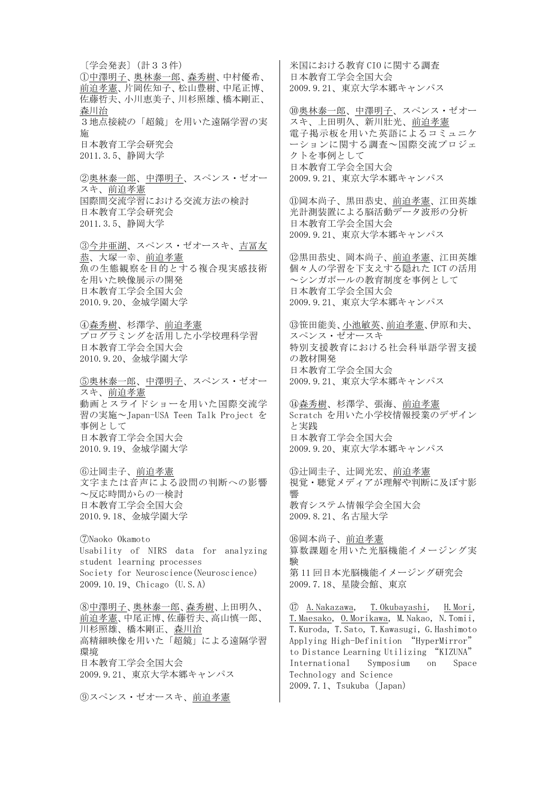〔学会発表〕(計33件) ①中澤明子、奥林泰一郎、森秀樹、中村優希、 前迫孝憲、片岡佐知子、松山豊樹、中尾正博、 佐藤哲夫、小川恵美子、川杉照雄、橋本剛正、 森川治 3地点接続の「超鏡」を用いた遠隔学習の実 施 日本教育工学会研究会 2011.3.5、静岡大学 ②奥林泰一郎、中澤明子、スペンス・ゼオー スキ、前迫孝憲 国際間交流学習における交流方法の検討 日本教育工学会研究会 2011.3.5、静岡大学 ③今井亜湖、スペンス・ゼオースキ、吉冨友 恭、大塚一幸、前迫孝憲 魚の生態観察を目的とする複合現実感技術 を用いた映像展示の開発 日本教育工学会全国大会 2010.9.20、金城学園大学 ④森秀樹、杉澤学、前迫孝憲 プログラミングを活用した小学校理科学習 日本教育工学会全国大会 2010.9.20、金城学園大学 ⑤奥林泰一郎、中澤明子、スペンス・ゼオー スキ、前迫孝憲 動画とスライドショーを用いた国際交流学 習の実施~Japan-USA Teen Talk Project を 事例として 日本教育工学会全国大会 2010.9.19、金城学園大学 ⑥辻岡圭子、前迫孝憲 文字または音声による設問の判断への影響 ~反応時間からの一検討 日本教育工学会全国大会 2010.9.18、金城学園大学 ⑦Naoko Okamoto Usability of NIRS data for analyzing student learning processes Society for Neuroscience(Neuroscience) 2009.10.19、Chicago(U.S.A) ⑧中澤明子、奥林泰一郎、森秀樹、上田明久、 前迫孝憲、中尾正博、佐藤哲夫、高山慎一郎、 高精細映像を用いた「超鏡」による遠隔学習

川杉照雄、橋本剛正、森川治 環境 日本教育工学会全国大会

2009.9.21、東京大学本郷キャンパス

⑨スペンス・ゼオースキ、前迫孝憲

米国における教育 CIO に関する調査 日本教育工学会全国大会 2009.9.21、東京大学本郷キャンパス

⑩奥林泰一郎、中澤明子、スペンス・ゼオー スキ、上田明久、新川壯光、前迫孝憲 電子掲示板を用いた英語によるコミュニケ ーションに関する調査~国際交流プロジェ クトを事例として 日本教育工学会全国大会 2009.9.21、東京大学本郷キャンパス

⑪岡本尚子、黒田恭史、前迫孝憲、江田英雄 光計測装置による脳活動データ波形の分析 日本教育工学会全国大会 2009.9.21、東京大学本郷キャンパス

⑫黒田恭史、岡本尚子、前迫孝憲、江田英雄 個々人の学習を下支えする隠れた ICT の活用 ~シンガポールの教育制度を事例として 日本教育工学会全国大会 2009.9.21、東京大学本郷キャンパス

⑬笹田能美、小池敏英、前迫孝憲、伊原和夫、 スペンス・ゼオースキ 特別支援教育における社会科単語学習支援 の教材開発 日本教育工学会全国大会 2009.9.21、東京大学本郷キャンパス

⑭森秀樹、杉澤学、張海、前迫孝憲 Scratch を用いた小学校情報授業のデザイン と実践 日本教育工学会全国大会 2009.9.20、東京大学本郷キャンパス

⑮辻岡圭子、辻岡光宏、前迫孝憲 視覚・聴覚メディアが理解や判断に及ぼす影 響 教育システム情報学会全国大会 2009.8.21、名古屋大学

⑯岡本尚子、前迫孝憲 算数課題を用いた光脳機能イメージング実 験 第 11 回日本光脳機能イメージング研究会 2009.7.18、星陵会館、東京

⑰ A.Nakazawa, T.Okubayashi, H.Mori, T.Maesako, O.Morikawa, M.Nakao, N.Tomii, T.Kuroda, T.Sato, T.Kawasugi, G.Hashimoto Applying High-Definition "HyperMirror" to Distance Learning Utilizing "KIZUNA" International Symposium on Space Technology and Science 2009.7.1、Tsukuba(Japan)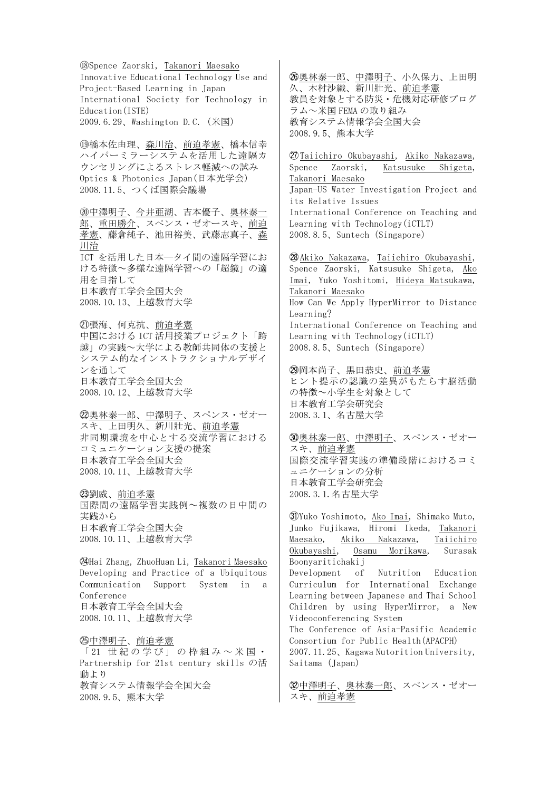⑱Spence Zaorski, Takanori Maesako Innovative Educational Technology Use and Project-Based Learning in Japan International Society for Technology in Education(ISTE) 2009.6.29、Washington D.C.(米国)

⑲橋本佐由理、森川治、前迫孝憲、橋本信幸 ハイパーミラーシステムを活用した遠隔カ ウンセリングによるストレス軽減への試み Optics & Photonics Japan(日本光学会) 2008.11.5、つくば国際会議場

⑳中澤明子、今井亜湖、吉本優子、奥林泰一 郎、重田勝介、スペンス・ゼオースキ、前迫 孝憲、藤倉純子、池田裕美、武藤志真子、森 川治 ICT を活用した日本̶タイ間の遠隔学習にお ける特徴~多様な遠隔学習への「超鏡」の適 用を目指して 日本教育工学会全国大会 2008.10.13、上越教育大学

㉑張海、何克抗、前迫孝憲 中国における ICT 活用授業プロジェクト「跨 越」の実践~大学による教師共同体の支援と システム的なインストラクショナルデザイ ンを通して 日本教育工学会全国大会 2008.10.12、上越教育大学

㉒奥林泰一郎、中澤明子、スペンス・ゼオー スキ、上田明久、新川壯光、前迫孝憲 非同期環境を中心とする交流学習における コミュニケーション支援の提案 日本教育工学会全国大会 2008.10.11、上越教育大学

㉓劉威、前迫孝憲 国際間の遠隔学習実践例~複数の日中間の 実践から 日本教育工学会全国大会 2008.10.11、上越教育大学

㉔Hai Zhang, ZhuoHuan Li, Takanori Maesako Developing and Practice of a Ubiquitous Communication Support System in a Conference 日本教育工学会全国大会 2008.10.11、上越教育大学

㉕中澤明子、前迫孝憲 「 21 世紀の学び」の枠組み~ 米国・ Partnership for 21st century skills の活 動より 教育システム情報学会全国大会 2008.9.5、熊本大学

㉖奥林泰一郎、中澤明子、小久保力、上田明 久、木村沙織、新川壯光、前迫孝憲 教員を対象とする防災・危機対応研修プログ ラム~米国 FEMA の取り組み 教育システム情報学会全国大会 2008.9.5、熊本大学

㉗Taiichiro Okubayashi, Akiko Nakazawa, Spence Zaorski, Katsusuke Shigeta, Takanori Maesako Japan-US Water Investigation Project and its Relative Issues International Conference on Teaching and Learning with Technology(iCTLT) 2008.8.5、Suntech(Singapore)

㉘Akiko Nakazawa, Taiichiro Okubayashi, Spence Zaorski, Katsusuke Shigeta, Ako Imai, Yuko Yoshitomi, Hideya Matsukawa, Takanori Maesako How Can We Apply HyperMirror to Distance Learning? International Conference on Teaching and Learning with Technology(iCTLT) 2008.8.5、Suntech(Singapore)

㉙岡本尚子、黒田恭史、前迫孝憲 ヒント提示の認識の差異がもたらす脳活動 の特徴~小学生を対象として 日本教育工学会研究会 2008.3.1、名古屋大学

㉚奥林泰一郎、中澤明子、スペンス・ゼオー スキ、前迫孝憲 国際交流学習実践の準備段階におけるコミ ュニケーションの分析 日本教育工学会研究会 2008.3.1.名古屋大学

㉛Yuko Yoshimoto, Ako Imai, Shimako Muto, Junko Fujikawa, Hiromi Ikeda, Takanori Maesako, Akiko Nakazawa, Taiichiro Okubayashi, Osamu Morikawa, Surasak Boonyaritichakij Development of Nutrition Education Curriculum for International Exchange Learning between Japanese and Thai School Children by using HyperMirror, a New Videoconferencing System The Conference of Asia-Pasific Academic Consortium for Public Health(APACPH) 2007.11.25、Kagawa Nutorition University, Saitama(Japan)

30中澤明子、奥林泰一郎、スペンス·ゼオー スキ、前迫孝憲